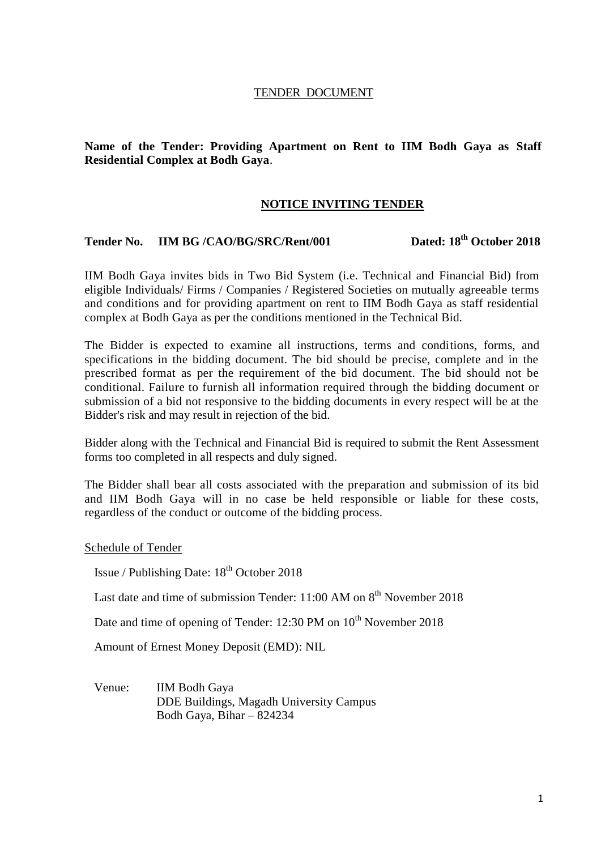#### TENDER DOCUMENT

#### **Name of the Tender: Providing Apartment on Rent to IIM Bodh Gaya as Staff Residential Complex at Bodh Gaya**.

#### **NOTICE INVITING TENDER**

# **Tender No. IIM BG /CAO/BG/SRC/Rent/001 Dated: 18th October 2018**

IIM Bodh Gaya invites bids in Two Bid System (i.e. Technical and Financial Bid) from eligible Individuals/ Firms / Companies / Registered Societies on mutually agreeable terms and conditions and for providing apartment on rent to IIM Bodh Gaya as staff residential complex at Bodh Gaya as per the conditions mentioned in the Technical Bid.

The Bidder is expected to examine all instructions, terms and conditions, forms, and specifications in the bidding document. The bid should be precise, complete and in the prescribed format as per the requirement of the bid document. The bid should not be conditional. Failure to furnish all information required through the bidding document or submission of a bid not responsive to the bidding documents in every respect will be at the Bidder's risk and may result in rejection of the bid.

Bidder along with the Technical and Financial Bid is required to submit the Rent Assessment forms too completed in all respects and duly signed.

The Bidder shall bear all costs associated with the preparation and submission of its bid and IIM Bodh Gaya will in no case be held responsible or liable for these costs, regardless of the conduct or outcome of the bidding process.

Schedule of Tender

Issue / Publishing Date:  $18<sup>th</sup>$  October 2018

Last date and time of submission Tender:  $11:00$  AM on  $8<sup>th</sup>$  November 2018

Date and time of opening of Tender: 12:30 PM on 10<sup>th</sup> November 2018

Amount of Ernest Money Deposit (EMD): NIL

Venue: IIM Bodh Gaya DDE Buildings, Magadh University Campus Bodh Gaya, Bihar – 824234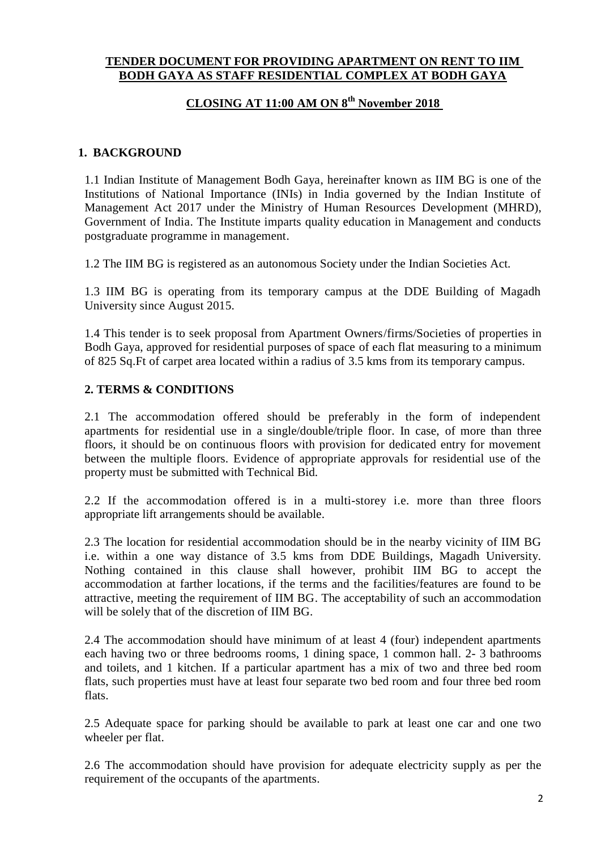## **TENDER DOCUMENT FOR PROVIDING APARTMENT ON RENT TO IIM BODH GAYA AS STAFF RESIDENTIAL COMPLEX AT BODH GAYA**

## **CLOSING AT 11:00 AM ON 8 th November 2018**

## **1. BACKGROUND**

1.1 Indian Institute of Management Bodh Gaya, hereinafter known as IIM BG is one of the Institutions of National Importance (INIs) in India governed by the Indian Institute of Management Act 2017 under the Ministry of Human Resources Development (MHRD), Government of India. The Institute imparts quality education in Management and conducts postgraduate programme in management.

1.2 The IIM BG is registered as an autonomous Society under the Indian Societies Act.

1.3 IIM BG is operating from its temporary campus at the DDE Building of Magadh University since August 2015.

1.4 This tender is to seek proposal from Apartment Owners/firms/Societies of properties in Bodh Gaya, approved for residential purposes of space of each flat measuring to a minimum of 825 Sq.Ft of carpet area located within a radius of 3.5 kms from its temporary campus.

## **2. TERMS & CONDITIONS**

2.1 The accommodation offered should be preferably in the form of independent apartments for residential use in a single/double/triple floor. In case, of more than three floors, it should be on continuous floors with provision for dedicated entry for movement between the multiple floors. Evidence of appropriate approvals for residential use of the property must be submitted with Technical Bid.

2.2 If the accommodation offered is in a multi-storey i.e. more than three floors appropriate lift arrangements should be available.

2.3 The location for residential accommodation should be in the nearby vicinity of IIM BG i.e. within a one way distance of 3.5 kms from DDE Buildings, Magadh University. Nothing contained in this clause shall however, prohibit IIM BG to accept the accommodation at farther locations, if the terms and the facilities/features are found to be attractive, meeting the requirement of IIM BG. The acceptability of such an accommodation will be solely that of the discretion of IIM BG.

2.4 The accommodation should have minimum of at least 4 (four) independent apartments each having two or three bedrooms rooms, 1 dining space, 1 common hall. 2- 3 bathrooms and toilets, and 1 kitchen. If a particular apartment has a mix of two and three bed room flats, such properties must have at least four separate two bed room and four three bed room flats.

2.5 Adequate space for parking should be available to park at least one car and one two wheeler per flat.

2.6 The accommodation should have provision for adequate electricity supply as per the requirement of the occupants of the apartments.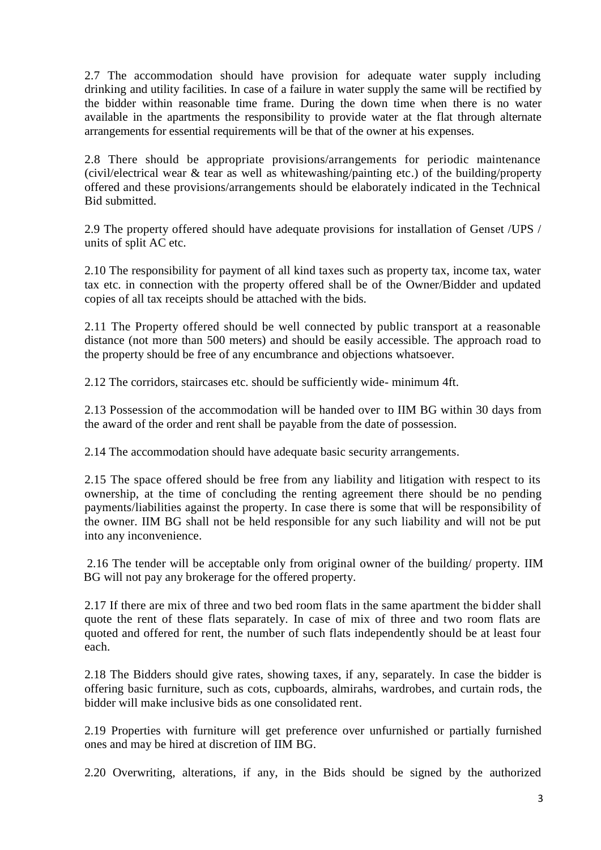2.7 The accommodation should have provision for adequate water supply including drinking and utility facilities. In case of a failure in water supply the same will be rectified by the bidder within reasonable time frame. During the down time when there is no water available in the apartments the responsibility to provide water at the flat through alternate arrangements for essential requirements will be that of the owner at his expenses.

2.8 There should be appropriate provisions/arrangements for periodic maintenance (civil/electrical wear & tear as well as whitewashing/painting etc.) of the building/property offered and these provisions/arrangements should be elaborately indicated in the Technical Bid submitted.

2.9 The property offered should have adequate provisions for installation of Genset /UPS / units of split AC etc.

2.10 The responsibility for payment of all kind taxes such as property tax, income tax, water tax etc. in connection with the property offered shall be of the Owner/Bidder and updated copies of all tax receipts should be attached with the bids.

2.11 The Property offered should be well connected by public transport at a reasonable distance (not more than 500 meters) and should be easily accessible. The approach road to the property should be free of any encumbrance and objections whatsoever.

2.12 The corridors, staircases etc. should be sufficiently wide- minimum 4ft.

2.13 Possession of the accommodation will be handed over to IIM BG within 30 days from the award of the order and rent shall be payable from the date of possession.

2.14 The accommodation should have adequate basic security arrangements.

2.15 The space offered should be free from any liability and litigation with respect to its ownership, at the time of concluding the renting agreement there should be no pending payments/liabilities against the property. In case there is some that will be responsibility of the owner. IIM BG shall not be held responsible for any such liability and will not be put into any inconvenience.

2.16 The tender will be acceptable only from original owner of the building/ property. IIM BG will not pay any brokerage for the offered property.

2.17 If there are mix of three and two bed room flats in the same apartment the bidder shall quote the rent of these flats separately. In case of mix of three and two room flats are quoted and offered for rent, the number of such flats independently should be at least four each.

2.18 The Bidders should give rates, showing taxes, if any, separately. In case the bidder is offering basic furniture, such as cots, cupboards, almirahs, wardrobes, and curtain rods, the bidder will make inclusive bids as one consolidated rent.

2.19 Properties with furniture will get preference over unfurnished or partially furnished ones and may be hired at discretion of IIM BG.

2.20 Overwriting, alterations, if any, in the Bids should be signed by the authorized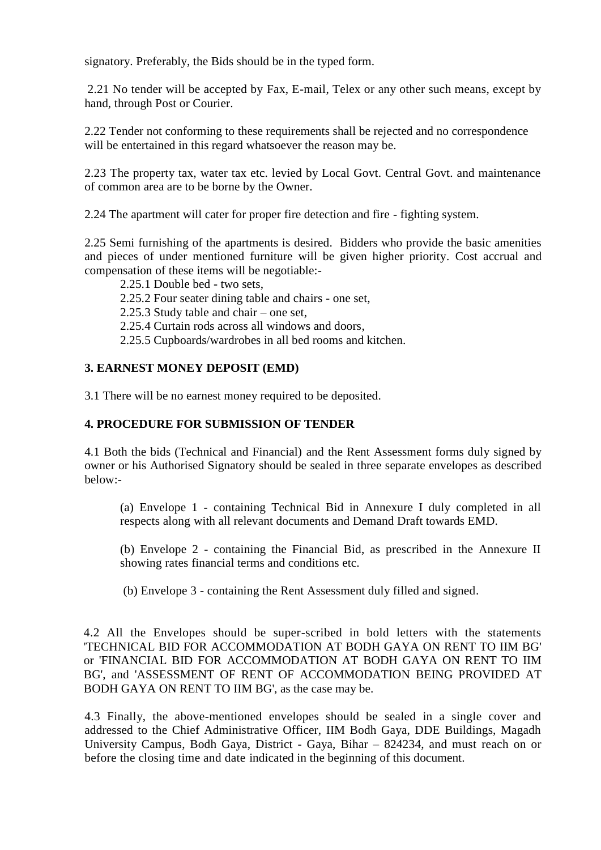signatory. Preferably, the Bids should be in the typed form.

2.21 No tender will be accepted by Fax, E-mail, Telex or any other such means, except by hand, through Post or Courier.

2.22 Tender not conforming to these requirements shall be rejected and no correspondence will be entertained in this regard whatsoever the reason may be.

2.23 The property tax, water tax etc. levied by Local Govt. Central Govt. and maintenance of common area are to be borne by the Owner.

2.24 The apartment will cater for proper fire detection and fire - fighting system.

2.25 Semi furnishing of the apartments is desired. Bidders who provide the basic amenities and pieces of under mentioned furniture will be given higher priority. Cost accrual and compensation of these items will be negotiable:-

2.25.1 Double bed - two sets,

2.25.2 Four seater dining table and chairs - one set,

2.25.3 Study table and chair – one set,

2.25.4 Curtain rods across all windows and doors,

2.25.5 Cupboards/wardrobes in all bed rooms and kitchen.

## **3. EARNEST MONEY DEPOSIT (EMD)**

3.1 There will be no earnest money required to be deposited.

#### **4. PROCEDURE FOR SUBMISSION OF TENDER**

4.1 Both the bids (Technical and Financial) and the Rent Assessment forms duly signed by owner or his Authorised Signatory should be sealed in three separate envelopes as described below:-

(a) Envelope 1 - containing Technical Bid in Annexure I duly completed in all respects along with all relevant documents and Demand Draft towards EMD.

(b) Envelope 2 - containing the Financial Bid, as prescribed in the Annexure II showing rates financial terms and conditions etc.

(b) Envelope 3 - containing the Rent Assessment duly filled and signed.

4.2 All the Envelopes should be super-scribed in bold letters with the statements 'TECHNICAL BID FOR ACCOMMODATION AT BODH GAYA ON RENT TO IIM BG' or 'FINANCIAL BID FOR ACCOMMODATION AT BODH GAYA ON RENT TO IIM BG', and 'ASSESSMENT OF RENT OF ACCOMMODATION BEING PROVIDED AT BODH GAYA ON RENT TO IIM BG', as the case may be.

4.3 Finally, the above-mentioned envelopes should be sealed in a single cover and addressed to the Chief Administrative Officer, IIM Bodh Gaya, DDE Buildings, Magadh University Campus, Bodh Gaya, District - Gaya, Bihar – 824234, and must reach on or before the closing time and date indicated in the beginning of this document.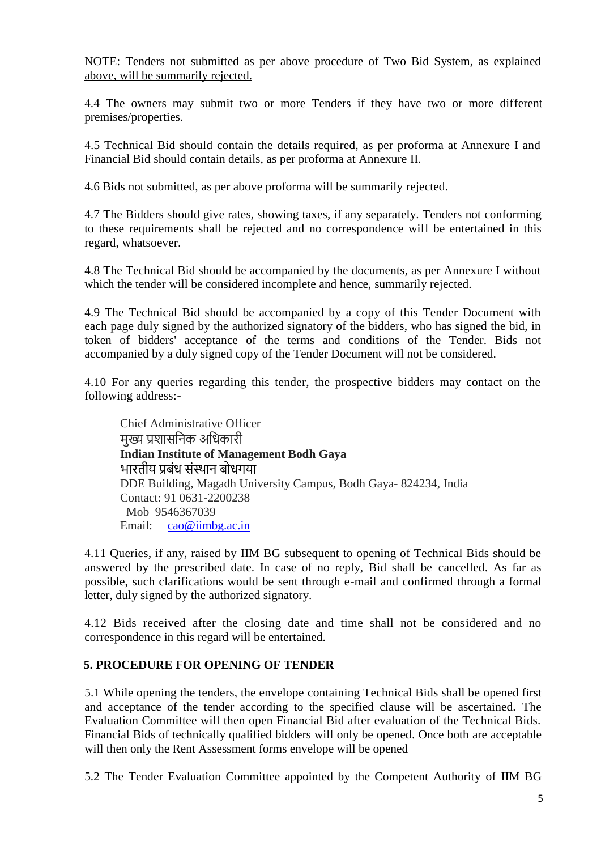NOTE: Tenders not submitted as per above procedure of Two Bid System, as explained above, will be summarily rejected.

4.4 The owners may submit two or more Tenders if they have two or more different premises/properties.

4.5 Technical Bid should contain the details required, as per proforma at Annexure I and Financial Bid should contain details, as per proforma at Annexure II.

4.6 Bids not submitted, as per above proforma will be summarily rejected.

4.7 The Bidders should give rates, showing taxes, if any separately. Tenders not conforming to these requirements shall be rejected and no correspondence will be entertained in this regard, whatsoever.

4.8 The Technical Bid should be accompanied by the documents, as per Annexure I without which the tender will be considered incomplete and hence, summarily rejected.

4.9 The Technical Bid should be accompanied by a copy of this Tender Document with each page duly signed by the authorized signatory of the bidders, who has signed the bid, in token of bidders' acceptance of the terms and conditions of the Tender. Bids not accompanied by a duly signed copy of the Tender Document will not be considered.

4.10 For any queries regarding this tender, the prospective bidders may contact on the following address:-

Chief Administrative Officer मख्य प्रशासनिक अधिकारी **Indian Institute of Management Bodh Gaya** भारतीय प्रबंध संस्थान बोधगया DDE Building, Magadh University Campus, Bodh Gaya- 824234, India Contact: 91 0631-2200238 Mob 9546367039 Email: [cao@iimbg.ac.in](mailto:cao@iimbg.ac.in)

4.11 Queries, if any, raised by IIM BG subsequent to opening of Technical Bids should be answered by the prescribed date. In case of no reply, Bid shall be cancelled. As far as possible, such clarifications would be sent through e-mail and confirmed through a formal letter, duly signed by the authorized signatory.

4.12 Bids received after the closing date and time shall not be considered and no correspondence in this regard will be entertained.

## **5. PROCEDURE FOR OPENING OF TENDER**

5.1 While opening the tenders, the envelope containing Technical Bids shall be opened first and acceptance of the tender according to the specified clause will be ascertained. The Evaluation Committee will then open Financial Bid after evaluation of the Technical Bids. Financial Bids of technically qualified bidders will only be opened. Once both are acceptable will then only the Rent Assessment forms envelope will be opened

5.2 The Tender Evaluation Committee appointed by the Competent Authority of IIM BG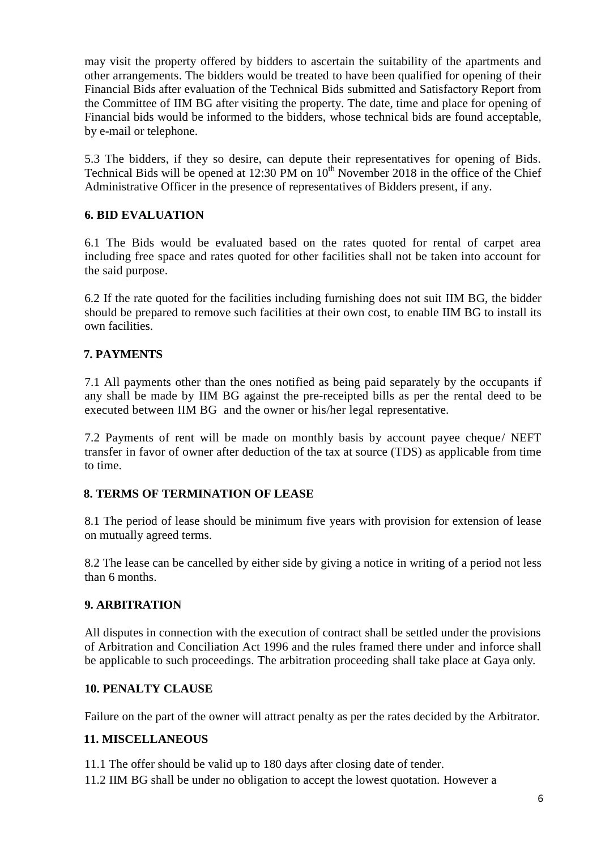may visit the property offered by bidders to ascertain the suitability of the apartments and other arrangements. The bidders would be treated to have been qualified for opening of their Financial Bids after evaluation of the Technical Bids submitted and Satisfactory Report from the Committee of IIM BG after visiting the property. The date, time and place for opening of Financial bids would be informed to the bidders, whose technical bids are found acceptable, by e-mail or telephone.

5.3 The bidders, if they so desire, can depute their representatives for opening of Bids. Technical Bids will be opened at  $12:30 \text{ PM}$  on  $10^{\text{th}}$  November 2018 in the office of the Chief Administrative Officer in the presence of representatives of Bidders present, if any.

## **6. BID EVALUATION**

6.1 The Bids would be evaluated based on the rates quoted for rental of carpet area including free space and rates quoted for other facilities shall not be taken into account for the said purpose.

6.2 If the rate quoted for the facilities including furnishing does not suit IIM BG, the bidder should be prepared to remove such facilities at their own cost, to enable IIM BG to install its own facilities.

## **7. PAYMENTS**

7.1 All payments other than the ones notified as being paid separately by the occupants if any shall be made by IIM BG against the pre-receipted bills as per the rental deed to be executed between IIM BG and the owner or his/her legal representative.

7.2 Payments of rent will be made on monthly basis by account payee cheque/ NEFT transfer in favor of owner after deduction of the tax at source (TDS) as applicable from time to time.

## **8. TERMS OF TERMINATION OF LEASE**

8.1 The period of lease should be minimum five years with provision for extension of lease on mutually agreed terms.

8.2 The lease can be cancelled by either side by giving a notice in writing of a period not less than 6 months.

## **9. ARBITRATION**

All disputes in connection with the execution of contract shall be settled under the provisions of Arbitration and Conciliation Act 1996 and the rules framed there under and inforce shall be applicable to such proceedings. The arbitration proceeding shall take place at Gaya only.

## **10. PENALTY CLAUSE**

Failure on the part of the owner will attract penalty as per the rates decided by the Arbitrator.

## **11. MISCELLANEOUS**

11.1 The offer should be valid up to 180 days after closing date of tender.

11.2 IIM BG shall be under no obligation to accept the lowest quotation. However a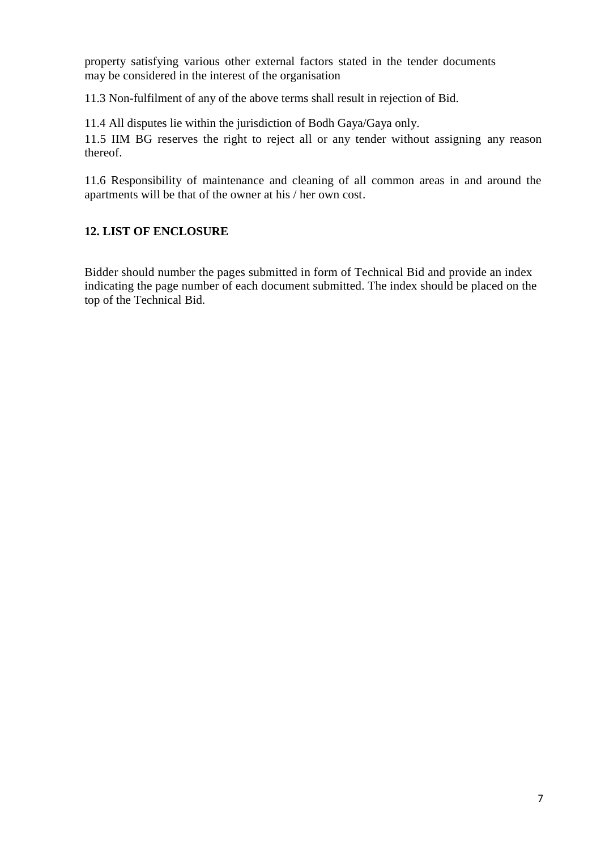property satisfying various other external factors stated in the tender documents may be considered in the interest of the organisation

11.3 Non-fulfilment of any of the above terms shall result in rejection of Bid.

11.4 All disputes lie within the jurisdiction of Bodh Gaya/Gaya only.

11.5 IIM BG reserves the right to reject all or any tender without assigning any reason thereof.

11.6 Responsibility of maintenance and cleaning of all common areas in and around the apartments will be that of the owner at his / her own cost.

## **12. LIST OF ENCLOSURE**

Bidder should number the pages submitted in form of Technical Bid and provide an index indicating the page number of each document submitted. The index should be placed on the top of the Technical Bid.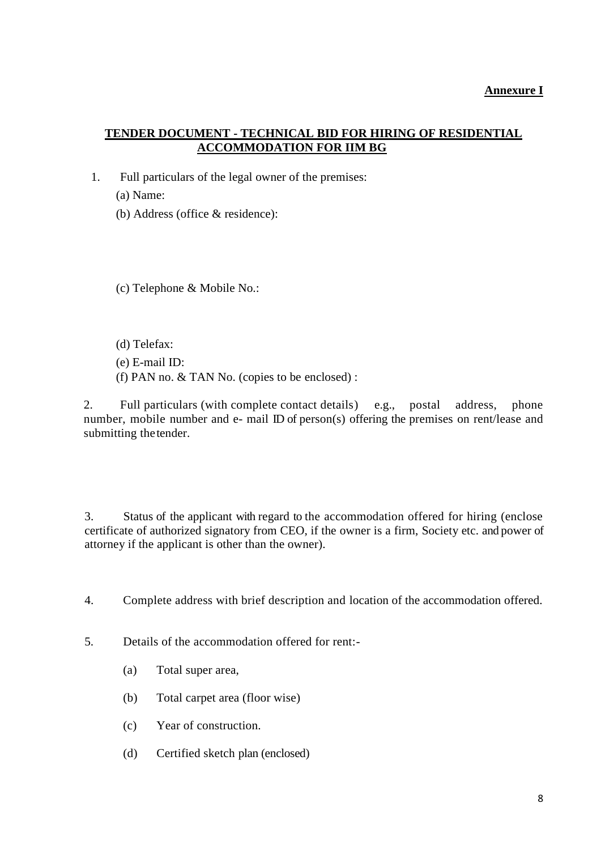# **TENDER DOCUMENT - TECHNICAL BID FOR HIRING OF RESIDENTIAL ACCOMMODATION FOR IIM BG**

1. Full particulars of the legal owner of the premises:

(a) Name:

(b) Address (office & residence):

(c) Telephone & Mobile No.:

(d) Telefax:

- (e) E-mail ID:
- (f) PAN no. & TAN No. (copies to be enclosed) :

2. Full particulars (with complete contact details) e.g., postal address, phone number, mobile number and e- mail ID of person(s) offering the premises on rent/lease and submitting thetender.

3. Status of the applicant with regard to the accommodation offered for hiring (enclose certificate of authorized signatory from CEO, if the owner is a firm, Society etc. and power of attorney if the applicant is other than the owner).

- 4. Complete address with brief description and location of the accommodation offered.
- 5. Details of the accommodation offered for rent:-
	- (a) Total super area,
	- (b) Total carpet area (floor wise)
	- (c) Year of construction.
	- (d) Certified sketch plan (enclosed)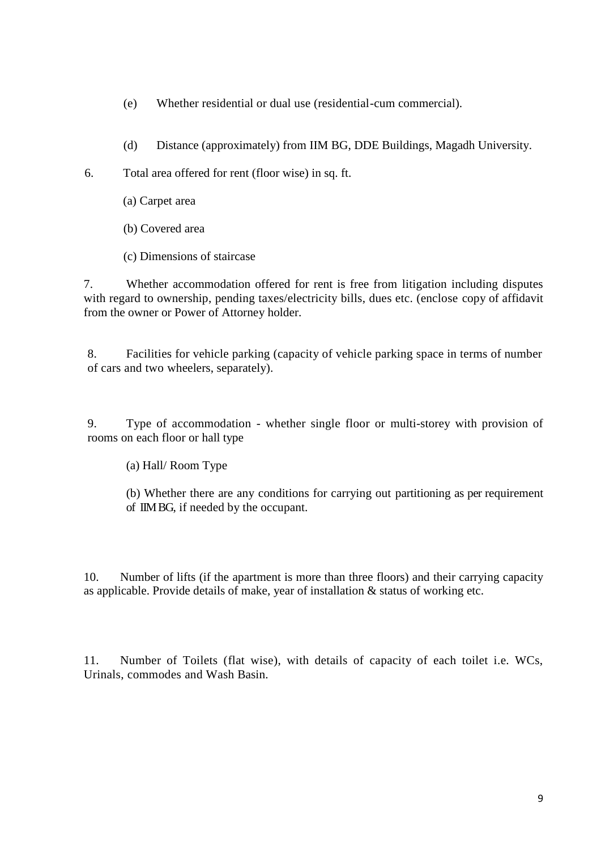- (e) Whether residential or dual use (residential-cum commercial).
- (d) Distance (approximately) from IIM BG, DDE Buildings, Magadh University.
- 6. Total area offered for rent (floor wise) in sq. ft.
	- (a) Carpet area
	- (b) Covered area
	- (c) Dimensions of staircase

7. Whether accommodation offered for rent is free from litigation including disputes with regard to ownership, pending taxes/electricity bills, dues etc. (enclose copy of affidavit from the owner or Power of Attorney holder.

8. Facilities for vehicle parking (capacity of vehicle parking space in terms of number of cars and two wheelers, separately).

9. Type of accommodation - whether single floor or multi-storey with provision of rooms on each floor or hall type

(a) Hall/ Room Type

(b) Whether there are any conditions for carrying out partitioning as per requirement of IIM BG, if needed by the occupant.

10. Number of lifts (if the apartment is more than three floors) and their carrying capacity as applicable. Provide details of make, year of installation & status of working etc.

11. Number of Toilets (flat wise), with details of capacity of each toilet i.e. WCs, Urinals, commodes and Wash Basin.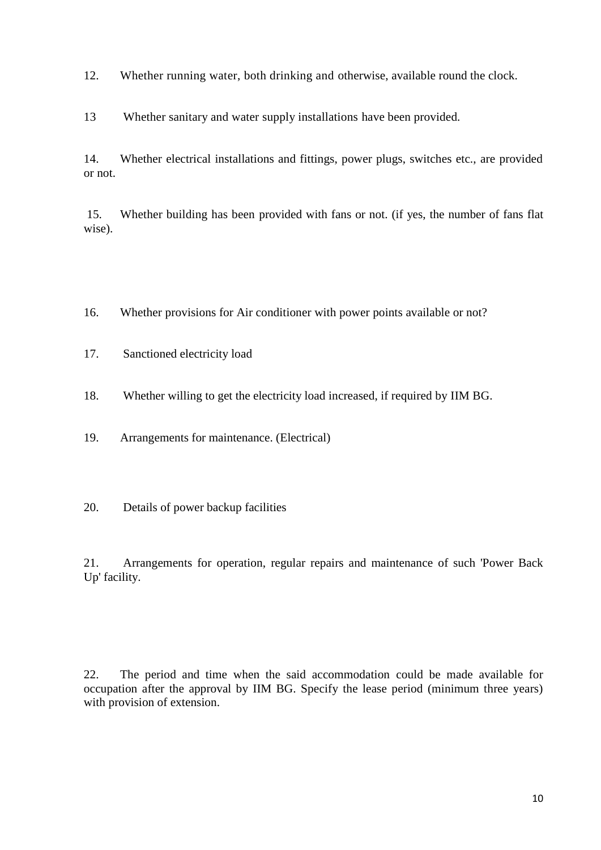12. Whether running water, both drinking and otherwise, available round the clock.

13 Whether sanitary and water supply installations have been provided.

14. Whether electrical installations and fittings, power plugs, switches etc., are provided or not.

15. Whether building has been provided with fans or not. (if yes, the number of fans flat wise).

- 16. Whether provisions for Air conditioner with power points available or not?
- 17. Sanctioned electricity load
- 18. Whether willing to get the electricity load increased, if required by IIM BG.

19. Arrangements for maintenance. (Electrical)

20. Details of power backup facilities

21. Arrangements for operation, regular repairs and maintenance of such 'Power Back Up' facility.

22. The period and time when the said accommodation could be made available for occupation after the approval by IIM BG. Specify the lease period (minimum three years) with provision of extension.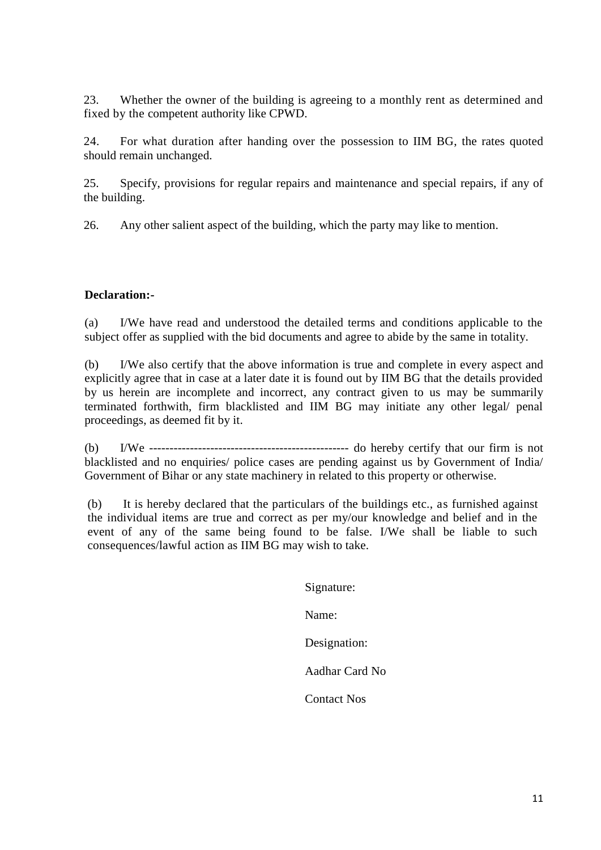23. Whether the owner of the building is agreeing to a monthly rent as determined and fixed by the competent authority like CPWD.

24. For what duration after handing over the possession to IIM BG, the rates quoted should remain unchanged.

25. Specify, provisions for regular repairs and maintenance and special repairs, if any of the building.

26. Any other salient aspect of the building, which the party may like to mention.

## **Declaration:-**

(a) I/We have read and understood the detailed terms and conditions applicable to the subject offer as supplied with the bid documents and agree to abide by the same in totality.

(b) I/We also certify that the above information is true and complete in every aspect and explicitly agree that in case at a later date it is found out by IIM BG that the details provided by us herein are incomplete and incorrect, any contract given to us may be summarily terminated forthwith, firm blacklisted and IIM BG may initiate any other legal/ penal proceedings, as deemed fit by it.

(b) I/We ------------------------------------------------- do hereby certify that our firm is not blacklisted and no enquiries/ police cases are pending against us by Government of India/ Government of Bihar or any state machinery in related to this property or otherwise.

(b) It is hereby declared that the particulars of the buildings etc., as furnished against the individual items are true and correct as per my/our knowledge and belief and in the event of any of the same being found to be false. I/We shall be liable to such consequences/lawful action as IIM BG may wish to take.

> Signature: Name: Designation: Aadhar Card No Contact Nos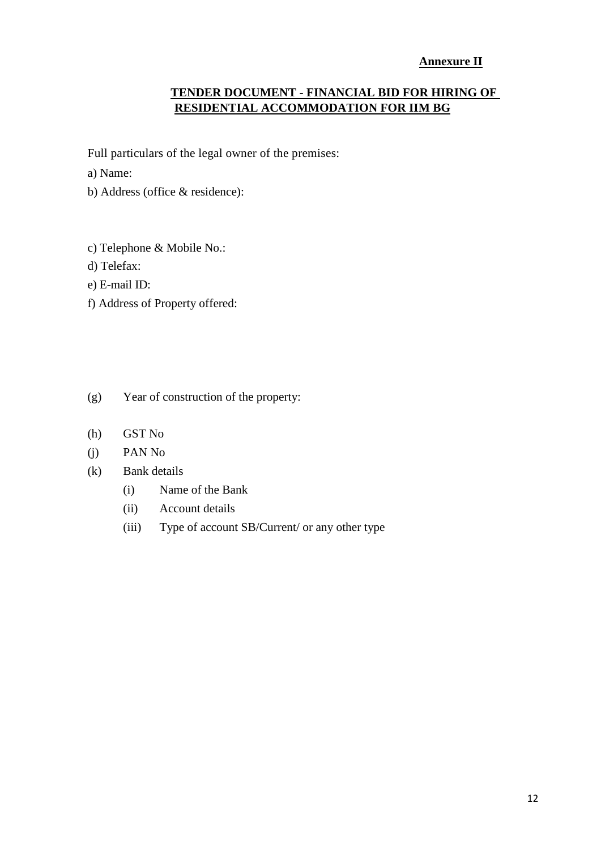# **Annexure II**

# **TENDER DOCUMENT - FINANCIAL BID FOR HIRING OF RESIDENTIAL ACCOMMODATION FOR IIM BG**

Full particulars of the legal owner of the premises:

a) Name:

- b) Address (office & residence):
- c) Telephone & Mobile No.:
- d) Telefax:
- e) E-mail ID:
- f) Address of Property offered:
- (g) Year of construction of the property:
- (h) GST No
- (j) PAN No
- (k) Bank details
	- (i) Name of the Bank
	- (ii) Account details
	- (iii) Type of account SB/Current/ or any other type